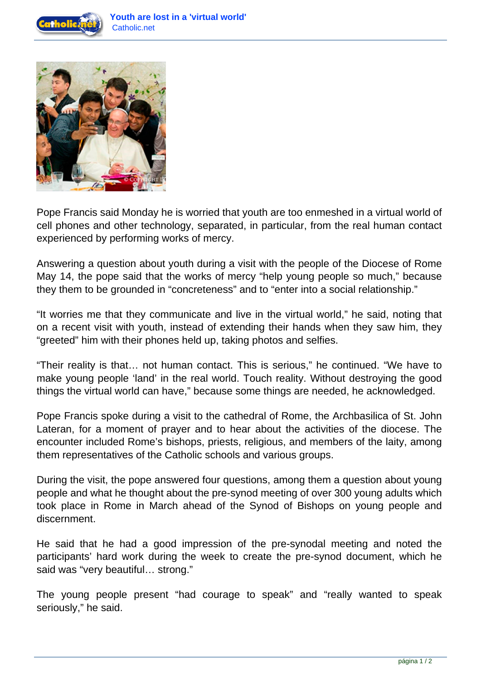



Pope Francis said Monday he is worried that youth are too enmeshed in a virtual world of cell phones and other technology, separated, in particular, from the real human contact experienced by performing works of mercy.

Answering a question about youth during a visit with the people of the Diocese of Rome May 14, the pope said that the works of mercy "help young people so much," because they them to be grounded in "concreteness" and to "enter into a social relationship."

"It worries me that they communicate and live in the virtual world," he said, noting that on a recent visit with youth, instead of extending their hands when they saw him, they "greeted" him with their phones held up, taking photos and selfies.

"Their reality is that… not human contact. This is serious," he continued. "We have to make young people 'land' in the real world. Touch reality. Without destroying the good things the virtual world can have," because some things are needed, he acknowledged.

Pope Francis spoke during a visit to the cathedral of Rome, the Archbasilica of St. John Lateran, for a moment of prayer and to hear about the activities of the diocese. The encounter included Rome's bishops, priests, religious, and members of the laity, among them representatives of the Catholic schools and various groups.

During the visit, the pope answered four questions, among them a question about young people and what he thought about the pre-synod meeting of over 300 young adults which took place in Rome in March ahead of the Synod of Bishops on young people and discernment.

He said that he had a good impression of the pre-synodal meeting and noted the participants' hard work during the week to create the pre-synod document, which he said was "very beautiful… strong."

The young people present "had courage to speak" and "really wanted to speak seriously," he said.